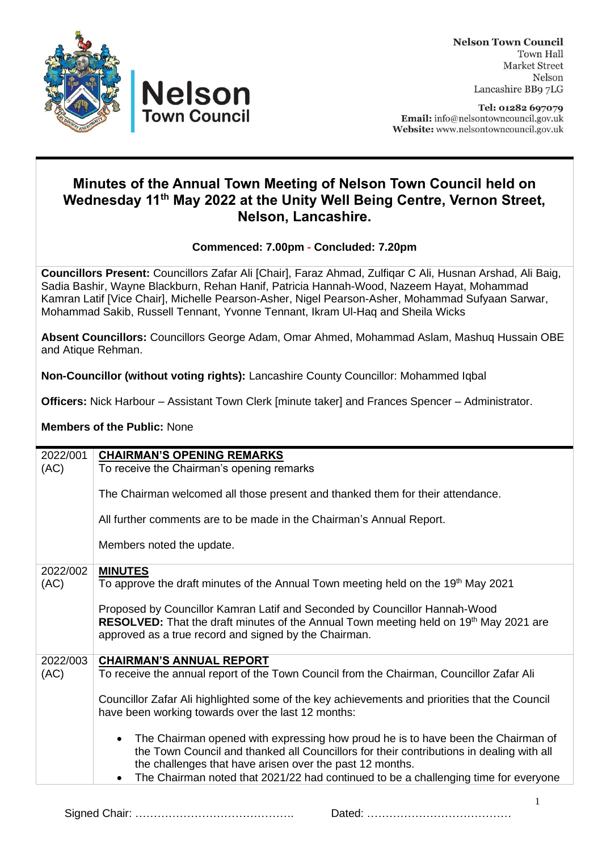

**Nelson Town Council Town Hall Market Street** Nelson Lancashire BB9 7LG

Tel: 01282 697079 Email: info@nelsontowncouncil.gov.uk Website: www.nelsontowncouncil.gov.uk

## **Minutes of the Annual Town Meeting of Nelson Town Council held on Wednesday 11 th May 2022 at the Unity Well Being Centre, Vernon Street, Nelson, Lancashire.**

## **Commenced: 7.00pm - Concluded: 7.20pm**

**Councillors Present:** Councillors Zafar Ali [Chair], Faraz Ahmad, Zulfiqar C Ali, Husnan Arshad, Ali Baig, Sadia Bashir, Wayne Blackburn, Rehan Hanif, Patricia Hannah-Wood, Nazeem Hayat, Mohammad Kamran Latif [Vice Chair], Michelle Pearson-Asher, Nigel Pearson-Asher, Mohammad Sufyaan Sarwar, Mohammad Sakib, Russell Tennant, Yvonne Tennant, Ikram Ul-Haq and Sheila Wicks

**Absent Councillors:** Councillors George Adam, Omar Ahmed, Mohammad Aslam, Mashuq Hussain OBE and Atique Rehman.

**Non-Councillor (without voting rights):** Lancashire County Councillor: Mohammed Iqbal

**Officers:** Nick Harbour – Assistant Town Clerk [minute taker] and Frances Spencer – Administrator.

**Members of the Public:** None

| 2022/001 | <b>CHAIRMAN'S OPENING REMARKS</b>                                                                                           |
|----------|-----------------------------------------------------------------------------------------------------------------------------|
| (AC)     | To receive the Chairman's opening remarks                                                                                   |
|          | The Chairman welcomed all those present and thanked them for their attendance.                                              |
|          | All further comments are to be made in the Chairman's Annual Report.                                                        |
|          | Members noted the update.                                                                                                   |
| 2022/002 | <b>MINUTES</b>                                                                                                              |
| (AC)     | To approve the draft minutes of the Annual Town meeting held on the 19 <sup>th</sup> May 2021                               |
|          |                                                                                                                             |
|          | Proposed by Councillor Kamran Latif and Seconded by Councillor Hannah-Wood                                                  |
|          | RESOLVED: That the draft minutes of the Annual Town meeting held on 19 <sup>th</sup> May 2021 are                           |
|          | approved as a true record and signed by the Chairman.                                                                       |
| 2022/003 |                                                                                                                             |
| (AC)     | <b>CHAIRMAN'S ANNUAL REPORT</b><br>To receive the annual report of the Town Council from the Chairman, Councillor Zafar Ali |
|          |                                                                                                                             |
|          | Councillor Zafar Ali highlighted some of the key achievements and priorities that the Council                               |
|          | have been working towards over the last 12 months:                                                                          |
|          |                                                                                                                             |
|          | The Chairman opened with expressing how proud he is to have been the Chairman of<br>$\bullet$                               |
|          | the Town Council and thanked all Councillors for their contributions in dealing with all                                    |
|          | the challenges that have arisen over the past 12 months.                                                                    |
|          | The Chairman noted that 2021/22 had continued to be a challenging time for everyone<br>$\bullet$                            |

Signed Chair: ……………………………………. Dated: …………………………………

1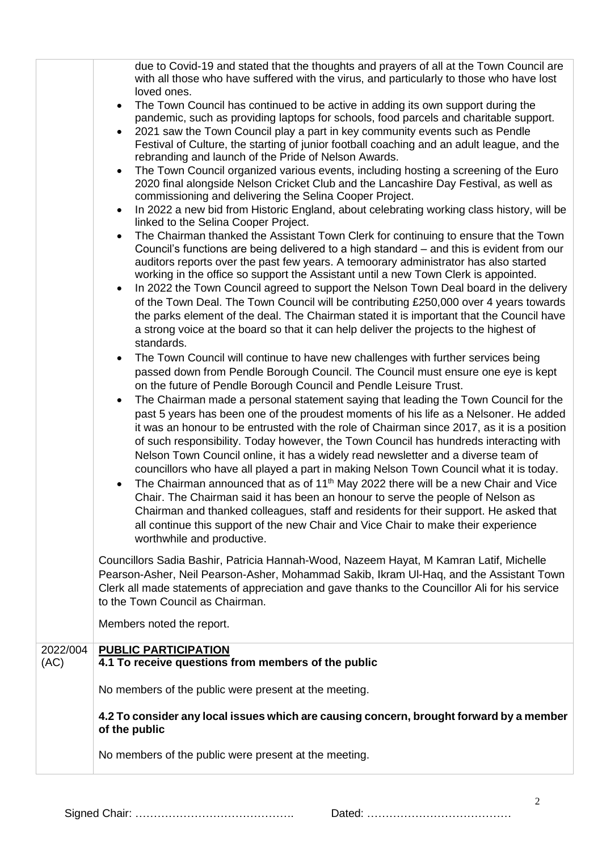|                  | due to Covid-19 and stated that the thoughts and prayers of all at the Town Council are<br>with all those who have suffered with the virus, and particularly to those who have lost<br>loved ones.<br>The Town Council has continued to be active in adding its own support during the<br>$\bullet$<br>pandemic, such as providing laptops for schools, food parcels and charitable support.<br>2021 saw the Town Council play a part in key community events such as Pendle<br>$\bullet$<br>Festival of Culture, the starting of junior football coaching and an adult league, and the<br>rebranding and launch of the Pride of Nelson Awards.<br>The Town Council organized various events, including hosting a screening of the Euro<br>$\bullet$<br>2020 final alongside Nelson Cricket Club and the Lancashire Day Festival, as well as<br>commissioning and delivering the Selina Cooper Project.<br>In 2022 a new bid from Historic England, about celebrating working class history, will be<br>$\bullet$<br>linked to the Selina Cooper Project.<br>The Chairman thanked the Assistant Town Clerk for continuing to ensure that the Town<br>$\bullet$<br>Council's functions are being delivered to a high standard – and this is evident from our<br>auditors reports over the past few years. A temoorary administrator has also started<br>working in the office so support the Assistant until a new Town Clerk is appointed.<br>In 2022 the Town Council agreed to support the Nelson Town Deal board in the delivery<br>$\bullet$<br>of the Town Deal. The Town Council will be contributing £250,000 over 4 years towards<br>the parks element of the deal. The Chairman stated it is important that the Council have<br>a strong voice at the board so that it can help deliver the projects to the highest of<br>standards.<br>The Town Council will continue to have new challenges with further services being<br>$\bullet$<br>passed down from Pendle Borough Council. The Council must ensure one eye is kept<br>on the future of Pendle Borough Council and Pendle Leisure Trust.<br>The Chairman made a personal statement saying that leading the Town Council for the<br>$\bullet$<br>past 5 years has been one of the proudest moments of his life as a Nelsoner. He added<br>it was an honour to be entrusted with the role of Chairman since 2017, as it is a position<br>of such responsibility. Today however, the Town Council has hundreds interacting with<br>Nelson Town Council online, it has a widely read newsletter and a diverse team of<br>councillors who have all played a part in making Nelson Town Council what it is today.<br>The Chairman announced that as of 11 <sup>th</sup> May 2022 there will be a new Chair and Vice<br>$\bullet$<br>Chair. The Chairman said it has been an honour to serve the people of Nelson as<br>Chairman and thanked colleagues, staff and residents for their support. He asked that<br>all continue this support of the new Chair and Vice Chair to make their experience<br>worthwhile and productive. |
|------------------|--------------------------------------------------------------------------------------------------------------------------------------------------------------------------------------------------------------------------------------------------------------------------------------------------------------------------------------------------------------------------------------------------------------------------------------------------------------------------------------------------------------------------------------------------------------------------------------------------------------------------------------------------------------------------------------------------------------------------------------------------------------------------------------------------------------------------------------------------------------------------------------------------------------------------------------------------------------------------------------------------------------------------------------------------------------------------------------------------------------------------------------------------------------------------------------------------------------------------------------------------------------------------------------------------------------------------------------------------------------------------------------------------------------------------------------------------------------------------------------------------------------------------------------------------------------------------------------------------------------------------------------------------------------------------------------------------------------------------------------------------------------------------------------------------------------------------------------------------------------------------------------------------------------------------------------------------------------------------------------------------------------------------------------------------------------------------------------------------------------------------------------------------------------------------------------------------------------------------------------------------------------------------------------------------------------------------------------------------------------------------------------------------------------------------------------------------------------------------------------------------------------------------------------------------------------------------------------------------------------------------------------------------------------------------------------------------------------------------------------------------------------------------------------------------------------------------------------------------------------------------------------------------------------------------------------------------------------------------------------------------------------------------------------------------------------------------------------------|
|                  | Councillors Sadia Bashir, Patricia Hannah-Wood, Nazeem Hayat, M Kamran Latif, Michelle<br>Pearson-Asher, Neil Pearson-Asher, Mohammad Sakib, Ikram UI-Haq, and the Assistant Town<br>Clerk all made statements of appreciation and gave thanks to the Councillor Ali for his service<br>to the Town Council as Chairman.                                                                                                                                                                                                                                                                                                                                                                                                                                                                                                                                                                                                                                                                                                                                                                                                                                                                                                                                                                                                                                                                                                                                                                                                                                                                                                                                                                                                                                                                                                                                                                                                                                                                                                                                                                                                                                                                                                                                                                                                                                                                                                                                                                                                                                                                                                                                                                                                                                                                                                                                                                                                                                                                                                                                                                   |
|                  | Members noted the report.                                                                                                                                                                                                                                                                                                                                                                                                                                                                                                                                                                                                                                                                                                                                                                                                                                                                                                                                                                                                                                                                                                                                                                                                                                                                                                                                                                                                                                                                                                                                                                                                                                                                                                                                                                                                                                                                                                                                                                                                                                                                                                                                                                                                                                                                                                                                                                                                                                                                                                                                                                                                                                                                                                                                                                                                                                                                                                                                                                                                                                                                  |
| 2022/004<br>(AC) | <b>PUBLIC PARTICIPATION</b><br>4.1 To receive questions from members of the public                                                                                                                                                                                                                                                                                                                                                                                                                                                                                                                                                                                                                                                                                                                                                                                                                                                                                                                                                                                                                                                                                                                                                                                                                                                                                                                                                                                                                                                                                                                                                                                                                                                                                                                                                                                                                                                                                                                                                                                                                                                                                                                                                                                                                                                                                                                                                                                                                                                                                                                                                                                                                                                                                                                                                                                                                                                                                                                                                                                                         |
|                  | No members of the public were present at the meeting.                                                                                                                                                                                                                                                                                                                                                                                                                                                                                                                                                                                                                                                                                                                                                                                                                                                                                                                                                                                                                                                                                                                                                                                                                                                                                                                                                                                                                                                                                                                                                                                                                                                                                                                                                                                                                                                                                                                                                                                                                                                                                                                                                                                                                                                                                                                                                                                                                                                                                                                                                                                                                                                                                                                                                                                                                                                                                                                                                                                                                                      |
|                  | 4.2 To consider any local issues which are causing concern, brought forward by a member                                                                                                                                                                                                                                                                                                                                                                                                                                                                                                                                                                                                                                                                                                                                                                                                                                                                                                                                                                                                                                                                                                                                                                                                                                                                                                                                                                                                                                                                                                                                                                                                                                                                                                                                                                                                                                                                                                                                                                                                                                                                                                                                                                                                                                                                                                                                                                                                                                                                                                                                                                                                                                                                                                                                                                                                                                                                                                                                                                                                    |
|                  | of the public                                                                                                                                                                                                                                                                                                                                                                                                                                                                                                                                                                                                                                                                                                                                                                                                                                                                                                                                                                                                                                                                                                                                                                                                                                                                                                                                                                                                                                                                                                                                                                                                                                                                                                                                                                                                                                                                                                                                                                                                                                                                                                                                                                                                                                                                                                                                                                                                                                                                                                                                                                                                                                                                                                                                                                                                                                                                                                                                                                                                                                                                              |
|                  | No members of the public were present at the meeting.                                                                                                                                                                                                                                                                                                                                                                                                                                                                                                                                                                                                                                                                                                                                                                                                                                                                                                                                                                                                                                                                                                                                                                                                                                                                                                                                                                                                                                                                                                                                                                                                                                                                                                                                                                                                                                                                                                                                                                                                                                                                                                                                                                                                                                                                                                                                                                                                                                                                                                                                                                                                                                                                                                                                                                                                                                                                                                                                                                                                                                      |

Signed Chair: ……………………………………. Dated: …………………………………